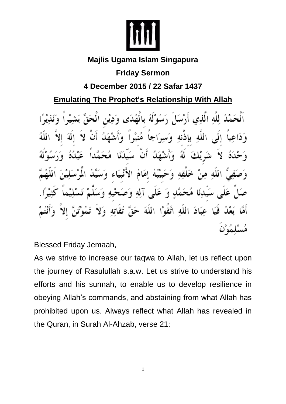

## **Majlis Ugama Islam Singapura**

# **Friday Sermon**

# **4 December 2015 / 22 Safar 1437**

# **Emulating The Prophet's Relationship With Allah**

َ لِلَّهُ الَّذِي أَرْسَاً ِ ءَسُهُ لَهُ بِالْقُلَقِ الله باذنه áJ ် 5 4ُ إِمَامُ الْإ يِّ وَ عَلَى آلِهِ وَصَحْهِ مَحَمَ  $\boldsymbol{A}$ عِبَادَ اللَّهِ اتَّقَوْا اللَّهَ تقاته

Blessed Friday Jemaah,

As we strive to increase our taqwa to Allah, let us reflect upon the journey of Rasulullah s.a.w. Let us strive to understand his efforts and his sunnah, to enable us to develop resilience in obeying Allah's commands, and abstaining from what Allah has prohibited upon us. Always reflect what Allah has revealed in the Quran, in Surah Al-Ahzab, verse 21: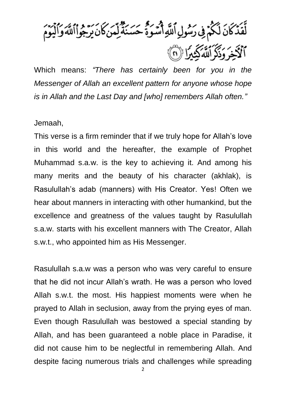أَيَّهُمَّنَ لَكُمْ فِي رَمُولِ ٱللَّهِ أَسَوَّةً حَسَنَةً لِمَنْكَانَ يَرْجُواْاللَّهَ وَالْيَوْمَ أَلَّأَخِرَ وَذَكَرَ اللَّهُ كَثِيرًا (أَنَّ)

Which means: *"There has certainly been for you in the Messenger of Allah an excellent pattern for anyone whose hope is in Allah and the Last Day and [who] remembers Allah often."*

### Jemaah,

This verse is a firm reminder that if we truly hope for Allah's love in this world and the hereafter, the example of Prophet Muhammad s.a.w. is the key to achieving it. And among his many merits and the beauty of his character (akhlak), is Rasulullah's adab (manners) with His Creator. Yes! Often we hear about manners in interacting with other humankind, but the excellence and greatness of the values taught by Rasulullah s.a.w. starts with his excellent manners with The Creator, Allah s.w.t., who appointed him as His Messenger.

Rasulullah s.a.w was a person who was very careful to ensure that he did not incur Allah's wrath. He was a person who loved Allah s.w.t. the most. His happiest moments were when he prayed to Allah in seclusion, away from the prying eyes of man. Even though Rasulullah was bestowed a special standing by Allah, and has been guaranteed a noble place in Paradise, it did not cause him to be neglectful in remembering Allah. And despite facing numerous trials and challenges while spreading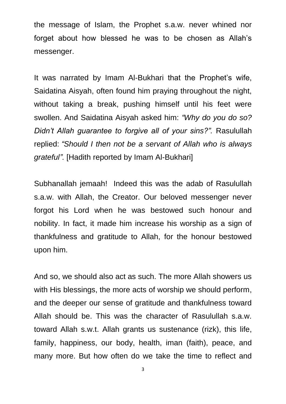the message of Islam, the Prophet s.a.w. never whined nor forget about how blessed he was to be chosen as Allah's messenger.

It was narrated by Imam Al-Bukhari that the Prophet's wife, Saidatina Aisyah, often found him praying throughout the night, without taking a break, pushing himself until his feet were swollen. And Saidatina Aisyah asked him: *"Why do you do so? Didn't Allah guarantee to forgive all of your sins?".* Rasulullah replied: *"Should I then not be a servant of Allah who is always grateful".* [Hadith reported by Imam Al-Bukhari]

Subhanallah jemaah! Indeed this was the adab of Rasulullah s.a.w. with Allah, the Creator. Our beloved messenger never forgot his Lord when he was bestowed such honour and nobility. In fact, it made him increase his worship as a sign of thankfulness and gratitude to Allah, for the honour bestowed upon him.

And so, we should also act as such. The more Allah showers us with His blessings, the more acts of worship we should perform, and the deeper our sense of gratitude and thankfulness toward Allah should be. This was the character of Rasulullah s.a.w. toward Allah s.w.t. Allah grants us sustenance (rizk), this life, family, happiness, our body, health, iman (faith), peace, and many more. But how often do we take the time to reflect and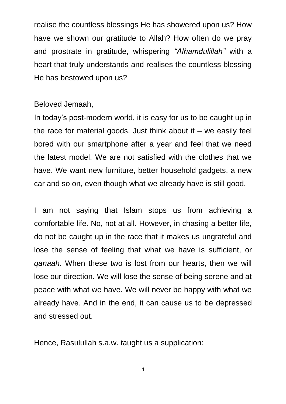realise the countless blessings He has showered upon us? How have we shown our gratitude to Allah? How often do we pray and prostrate in gratitude, whispering *"Alhamdulillah"* with a heart that truly understands and realises the countless blessing He has bestowed upon us?

### Beloved Jemaah,

In today's post-modern world, it is easy for us to be caught up in the race for material goods. Just think about it  $-$  we easily feel bored with our smartphone after a year and feel that we need the latest model. We are not satisfied with the clothes that we have. We want new furniture, better household gadgets, a new car and so on, even though what we already have is still good.

I am not saying that Islam stops us from achieving a comfortable life. No, not at all. However, in chasing a better life, do not be caught up in the race that it makes us ungrateful and lose the sense of feeling that what we have is sufficient, or *qanaah*. When these two is lost from our hearts, then we will lose our direction. We will lose the sense of being serene and at peace with what we have. We will never be happy with what we already have. And in the end, it can cause us to be depressed and stressed out.

Hence, Rasulullah s.a.w. taught us a supplication: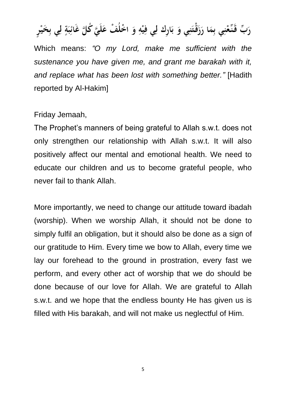رَبِّ قَنِّعْنِي بِمَا رَزَقْتَنِي وَ بَارِكْ لِي فِيْهِ وَ اخْلُفْ عَلَيَّ كُلَّ غَائِبَةٍ لِي بِخَيْر

Which means: *"O my Lord, make me sufficient with the sustenance you have given me, and grant me barakah with it, and replace what has been lost with something better."* [Hadith reported by Al-Hakim]

### Friday Jemaah,

The Prophet's manners of being grateful to Allah s.w.t. does not only strengthen our relationship with Allah s.w.t. It will also positively affect our mental and emotional health. We need to educate our children and us to become grateful people, who never fail to thank Allah.

More importantly, we need to change our attitude toward ibadah (worship). When we worship Allah, it should not be done to simply fulfil an obligation, but it should also be done as a sign of our gratitude to Him. Every time we bow to Allah, every time we lay our forehead to the ground in prostration, every fast we perform, and every other act of worship that we do should be done because of our love for Allah. We are grateful to Allah s.w.t. and we hope that the endless bounty He has given us is filled with His barakah, and will not make us neglectful of Him.